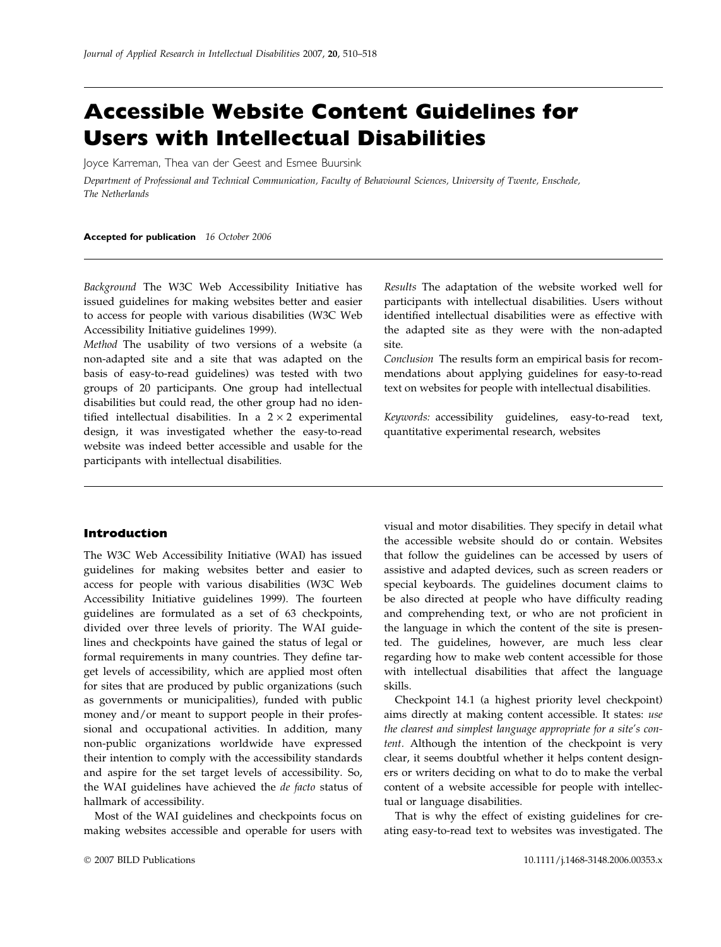# Accessible Website Content Guidelines for Users with Intellectual Disabilities

Joyce Karreman, Thea van der Geest and Esmee Buursink

Department of Professional and Technical Communication, Faculty of Behavioural Sciences, University of Twente, Enschede, The Netherlands

Accepted for publication 16 October 2006

Background The W3C Web Accessibility Initiative has issued guidelines for making websites better and easier to access for people with various disabilities (W3C Web Accessibility Initiative guidelines 1999).

non-adapted site and a site that was adapted on the basis of easy-to-read guidelines) was tested with two groups of 20 participants. One group had intellectual disabilities but could read, the other group had no identified intellectual disabilities. In a  $2 \times 2$  experimental design, it was investigated whether the easy-to-read website was indeed better accessible and usable for the participants with intellectual disabilities.

Method The usability of two versions of a website (a

Introduction

The W3C Web Accessibility Initiative (WAI) has issued guidelines for making websites better and easier to access for people with various disabilities (W3C Web Accessibility Initiative guidelines 1999). The fourteen guidelines are formulated as a set of 63 checkpoints, divided over three levels of priority. The WAI guidelines and checkpoints have gained the status of legal or formal requirements in many countries. They define target levels of accessibility, which are applied most often for sites that are produced by public organizations (such as governments or municipalities), funded with public money and/or meant to support people in their professional and occupational activities. In addition, many non-public organizations worldwide have expressed their intention to comply with the accessibility standards and aspire for the set target levels of accessibility. So, the WAI guidelines have achieved the de facto status of hallmark of accessibility.

Most of the WAI guidelines and checkpoints focus on making websites accessible and operable for users with

Results The adaptation of the website worked well for participants with intellectual disabilities. Users without identified intellectual disabilities were as effective with the adapted site as they were with the non-adapted site.

Conclusion The results form an empirical basis for recommendations about applying guidelines for easy-to-read text on websites for people with intellectual disabilities.

Keywords: accessibility guidelines, easy-to-read text, quantitative experimental research, websites

visual and motor disabilities. They specify in detail what the accessible website should do or contain. Websites that follow the guidelines can be accessed by users of assistive and adapted devices, such as screen readers or special keyboards. The guidelines document claims to be also directed at people who have difficulty reading and comprehending text, or who are not proficient in the language in which the content of the site is presented. The guidelines, however, are much less clear regarding how to make web content accessible for those with intellectual disabilities that affect the language skills.

Checkpoint 14.1 (a highest priority level checkpoint) aims directly at making content accessible. It states: use the clearest and simplest language appropriate for a site's content. Although the intention of the checkpoint is very clear, it seems doubtful whether it helps content designers or writers deciding on what to do to make the verbal content of a website accessible for people with intellectual or language disabilities.

That is why the effect of existing guidelines for creating easy-to-read text to websites was investigated. The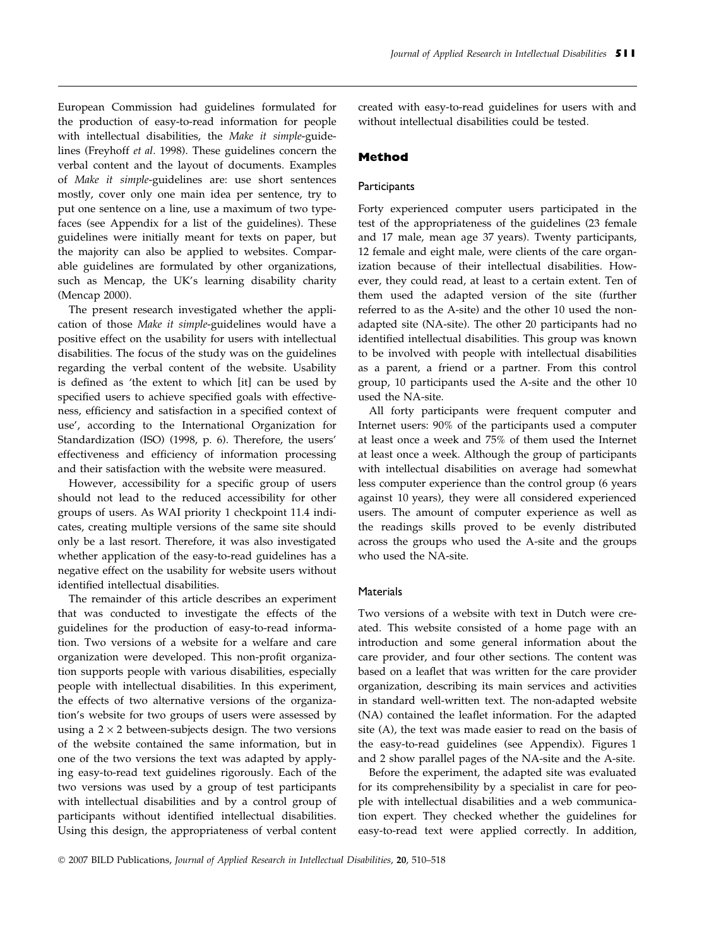European Commission had guidelines formulated for the production of easy-to-read information for people with intellectual disabilities, the Make it simple-guidelines (Freyhoff et al. 1998). These guidelines concern the verbal content and the layout of documents. Examples of Make it simple-guidelines are: use short sentences mostly, cover only one main idea per sentence, try to put one sentence on a line, use a maximum of two typefaces (see Appendix for a list of the guidelines). These guidelines were initially meant for texts on paper, but the majority can also be applied to websites. Comparable guidelines are formulated by other organizations, such as Mencap, the UK's learning disability charity (Mencap 2000).

The present research investigated whether the application of those Make it simple-guidelines would have a positive effect on the usability for users with intellectual disabilities. The focus of the study was on the guidelines regarding the verbal content of the website. Usability is defined as 'the extent to which [it] can be used by specified users to achieve specified goals with effectiveness, efficiency and satisfaction in a specified context of use', according to the International Organization for Standardization (ISO) (1998, p. 6). Therefore, the users' effectiveness and efficiency of information processing and their satisfaction with the website were measured.

However, accessibility for a specific group of users should not lead to the reduced accessibility for other groups of users. As WAI priority 1 checkpoint 11.4 indicates, creating multiple versions of the same site should only be a last resort. Therefore, it was also investigated whether application of the easy-to-read guidelines has a negative effect on the usability for website users without identified intellectual disabilities.

The remainder of this article describes an experiment that was conducted to investigate the effects of the guidelines for the production of easy-to-read information. Two versions of a website for a welfare and care organization were developed. This non-profit organization supports people with various disabilities, especially people with intellectual disabilities. In this experiment, the effects of two alternative versions of the organization's website for two groups of users were assessed by using a  $2 \times 2$  between-subjects design. The two versions of the website contained the same information, but in one of the two versions the text was adapted by applying easy-to-read text guidelines rigorously. Each of the two versions was used by a group of test participants with intellectual disabilities and by a control group of participants without identified intellectual disabilities. Using this design, the appropriateness of verbal content

created with easy-to-read guidelines for users with and without intellectual disabilities could be tested.

# Method

# **Participants**

Forty experienced computer users participated in the test of the appropriateness of the guidelines (23 female and 17 male, mean age 37 years). Twenty participants, 12 female and eight male, were clients of the care organization because of their intellectual disabilities. However, they could read, at least to a certain extent. Ten of them used the adapted version of the site (further referred to as the A-site) and the other 10 used the nonadapted site (NA-site). The other 20 participants had no identified intellectual disabilities. This group was known to be involved with people with intellectual disabilities as a parent, a friend or a partner. From this control group, 10 participants used the A-site and the other 10 used the NA-site.

All forty participants were frequent computer and Internet users: 90% of the participants used a computer at least once a week and 75% of them used the Internet at least once a week. Although the group of participants with intellectual disabilities on average had somewhat less computer experience than the control group (6 years against 10 years), they were all considered experienced users. The amount of computer experience as well as the readings skills proved to be evenly distributed across the groups who used the A-site and the groups who used the NA-site.

#### **Materials**

Two versions of a website with text in Dutch were created. This website consisted of a home page with an introduction and some general information about the care provider, and four other sections. The content was based on a leaflet that was written for the care provider organization, describing its main services and activities in standard well-written text. The non-adapted website (NA) contained the leaflet information. For the adapted site (A), the text was made easier to read on the basis of the easy-to-read guidelines (see Appendix). Figures 1 and 2 show parallel pages of the NA-site and the A-site.

Before the experiment, the adapted site was evaluated for its comprehensibility by a specialist in care for people with intellectual disabilities and a web communication expert. They checked whether the guidelines for easy-to-read text were applied correctly. In addition,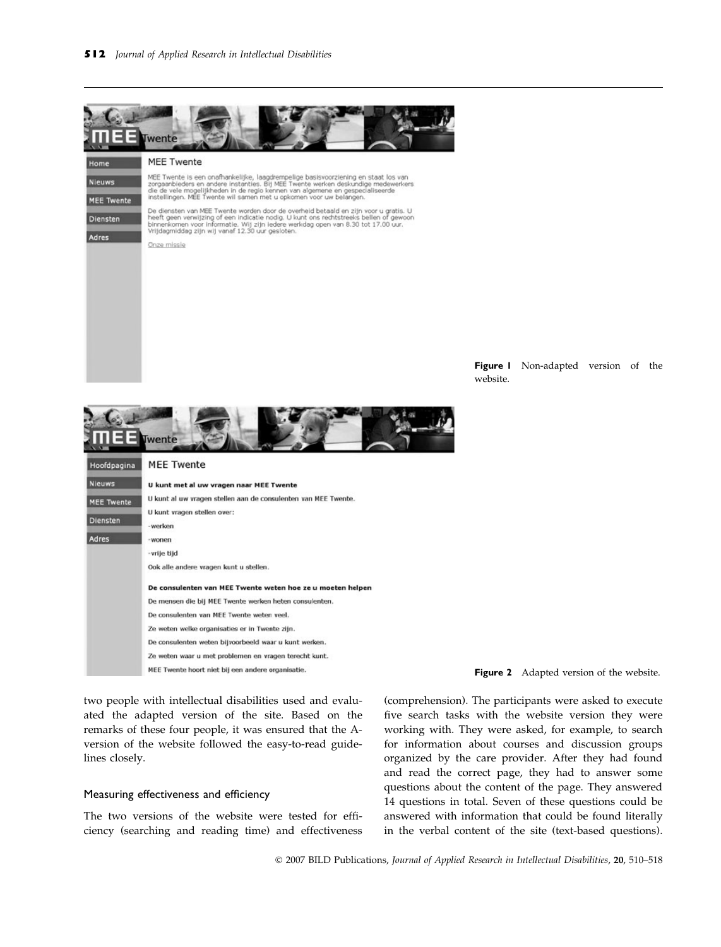

Figure I Non-adapted version of the website.



two people with intellectual disabilities used and evaluated the adapted version of the site. Based on the remarks of these four people, it was ensured that the Aversion of the website followed the easy-to-read guidelines closely.

# Measuring effectiveness and efficiency

The two versions of the website were tested for efficiency (searching and reading time) and effectiveness Figure 2 Adapted version of the website.

(comprehension). The participants were asked to execute five search tasks with the website version they were working with. They were asked, for example, to search for information about courses and discussion groups organized by the care provider. After they had found and read the correct page, they had to answer some questions about the content of the page. They answered 14 questions in total. Seven of these questions could be answered with information that could be found literally in the verbal content of the site (text-based questions).

© 2007 BILD Publications, Journal of Applied Research in Intellectual Disabilities, 20, 510–518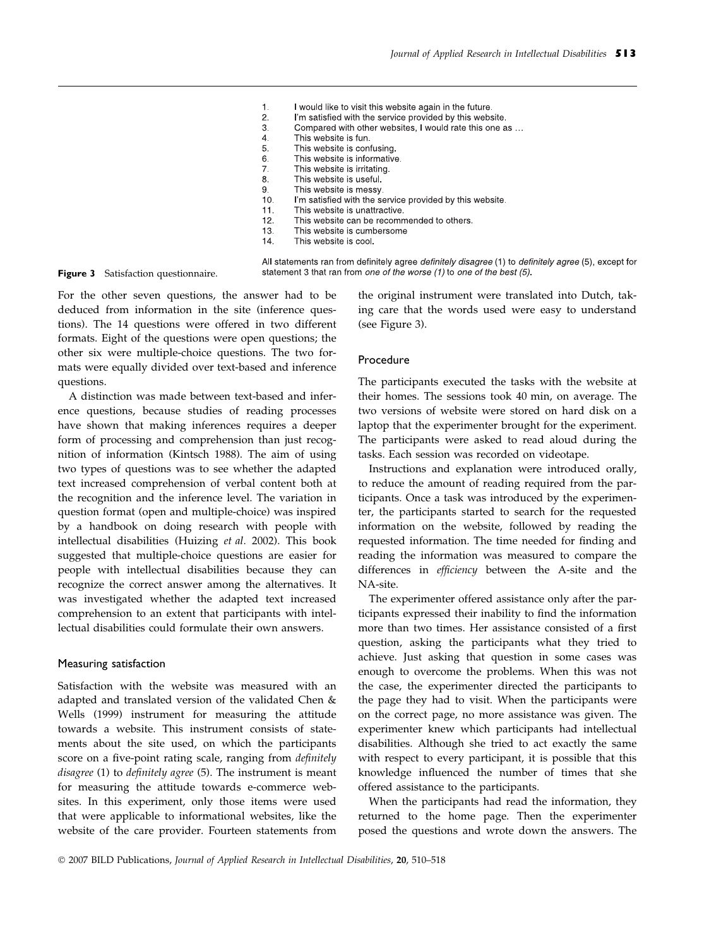- $1.$ I would like to visit this website again in the future.
- $\overline{2}$ . I'm satisfied with the service provided by this website.
- 3. Compared with other websites, I would rate this one as ...
- 4. This website is fun.
- 5. This website is confusing.
- $6 \over 7$ This website is informative.
- This website is irritating.
- 8. This website is useful.
- 9. This website is messy.
- $10$ I'm satisfied with the service provided by this website.
- $11.$ This website is unattractive.
- $12.$ This website can be recommended to others.
- 13. This website is cumbersome
- $14.$ This website is cool.

All statements ran from definitely agree definitely disagree (1) to definitely agree (5), except for statement 3 that ran from one of the worse (1) to one of the best (5).

Figure 3 Satisfaction questionnaire.

For the other seven questions, the answer had to be deduced from information in the site (inference questions). The 14 questions were offered in two different formats. Eight of the questions were open questions; the other six were multiple-choice questions. The two formats were equally divided over text-based and inference questions.

A distinction was made between text-based and inference questions, because studies of reading processes have shown that making inferences requires a deeper form of processing and comprehension than just recognition of information (Kintsch 1988). The aim of using two types of questions was to see whether the adapted text increased comprehension of verbal content both at the recognition and the inference level. The variation in question format (open and multiple-choice) was inspired by a handbook on doing research with people with intellectual disabilities (Huizing et al. 2002). This book suggested that multiple-choice questions are easier for people with intellectual disabilities because they can recognize the correct answer among the alternatives. It was investigated whether the adapted text increased comprehension to an extent that participants with intellectual disabilities could formulate their own answers.

## Measuring satisfaction

Satisfaction with the website was measured with an adapted and translated version of the validated Chen & Wells (1999) instrument for measuring the attitude towards a website. This instrument consists of statements about the site used, on which the participants score on a five-point rating scale, ranging from definitely disagree (1) to definitely agree (5). The instrument is meant for measuring the attitude towards e-commerce websites. In this experiment, only those items were used that were applicable to informational websites, like the website of the care provider. Fourteen statements from the original instrument were translated into Dutch, taking care that the words used were easy to understand (see Figure 3).

# Procedure

The participants executed the tasks with the website at their homes. The sessions took 40 min, on average. The two versions of website were stored on hard disk on a laptop that the experimenter brought for the experiment. The participants were asked to read aloud during the tasks. Each session was recorded on videotape.

Instructions and explanation were introduced orally, to reduce the amount of reading required from the participants. Once a task was introduced by the experimenter, the participants started to search for the requested information on the website, followed by reading the requested information. The time needed for finding and reading the information was measured to compare the differences in efficiency between the A-site and the NA-site.

The experimenter offered assistance only after the participants expressed their inability to find the information more than two times. Her assistance consisted of a first question, asking the participants what they tried to achieve. Just asking that question in some cases was enough to overcome the problems. When this was not the case, the experimenter directed the participants to the page they had to visit. When the participants were on the correct page, no more assistance was given. The experimenter knew which participants had intellectual disabilities. Although she tried to act exactly the same with respect to every participant, it is possible that this knowledge influenced the number of times that she offered assistance to the participants.

When the participants had read the information, they returned to the home page. Then the experimenter posed the questions and wrote down the answers. The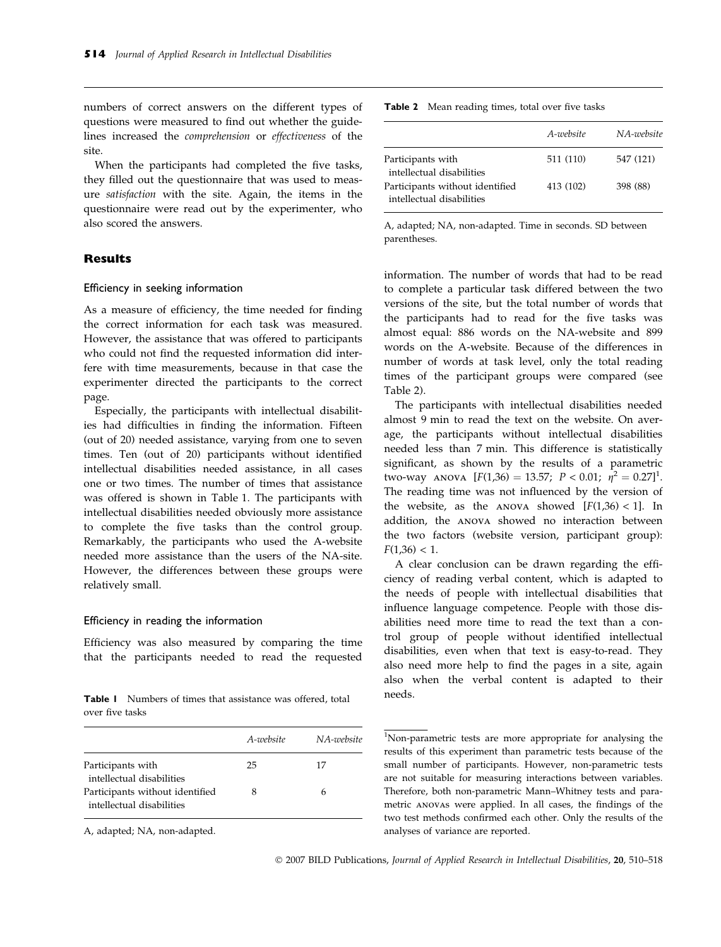numbers of correct answers on the different types of questions were measured to find out whether the guidelines increased the comprehension or effectiveness of the site.

When the participants had completed the five tasks, they filled out the questionnaire that was used to measure satisfaction with the site. Again, the items in the questionnaire were read out by the experimenter, who also scored the answers.

# Results

# Efficiency in seeking information

As a measure of efficiency, the time needed for finding the correct information for each task was measured. However, the assistance that was offered to participants who could not find the requested information did interfere with time measurements, because in that case the experimenter directed the participants to the correct page.

Especially, the participants with intellectual disabilities had difficulties in finding the information. Fifteen (out of 20) needed assistance, varying from one to seven times. Ten (out of 20) participants without identified intellectual disabilities needed assistance, in all cases one or two times. The number of times that assistance was offered is shown in Table 1. The participants with intellectual disabilities needed obviously more assistance to complete the five tasks than the control group. Remarkably, the participants who used the A-website needed more assistance than the users of the NA-site. However, the differences between these groups were relatively small.

#### Efficiency in reading the information

Efficiency was also measured by comparing the time that the participants needed to read the requested

Table I Numbers of times that assistance was offered, total over five tasks

|                                                              | A-website | NA-website |
|--------------------------------------------------------------|-----------|------------|
| Participants with<br>intellectual disabilities               | 25        | 17         |
| Participants without identified<br>intellectual disabilities |           | 6          |

A, adapted; NA, non-adapted.

Table 2 Mean reading times, total over five tasks

| A-website | $NA$ -website |
|-----------|---------------|
| 511 (110) | 547 (121)     |
| 413 (102) | 398 (88)      |
|           |               |

A, adapted; NA, non-adapted. Time in seconds. SD between parentheses.

information. The number of words that had to be read to complete a particular task differed between the two versions of the site, but the total number of words that the participants had to read for the five tasks was almost equal: 886 words on the NA-website and 899 words on the A-website. Because of the differences in number of words at task level, only the total reading times of the participant groups were compared (see Table 2).

The participants with intellectual disabilities needed almost 9 min to read the text on the website. On average, the participants without intellectual disabilities needed less than 7 min. This difference is statistically significant, as shown by the results of a parametric two-way ANOVA  $[F(1,36) = 13.57; P < 0.01; \eta^2 = 0.27]^1$ . The reading time was not influenced by the version of the website, as the ANOVA showed  $[F(1,36) < 1]$ . In addition, the anova showed no interaction between the two factors (website version, participant group):  $F(1,36) < 1.$ 

A clear conclusion can be drawn regarding the efficiency of reading verbal content, which is adapted to the needs of people with intellectual disabilities that influence language competence. People with those disabilities need more time to read the text than a control group of people without identified intellectual disabilities, even when that text is easy-to-read. They also need more help to find the pages in a site, again also when the verbal content is adapted to their needs.

<sup>&</sup>lt;sup>1</sup>Non-parametric tests are more appropriate for analysing the results of this experiment than parametric tests because of the small number of participants. However, non-parametric tests are not suitable for measuring interactions between variables. Therefore, both non-parametric Mann–Whitney tests and parametric anovas were applied. In all cases, the findings of the two test methods confirmed each other. Only the results of the analyses of variance are reported.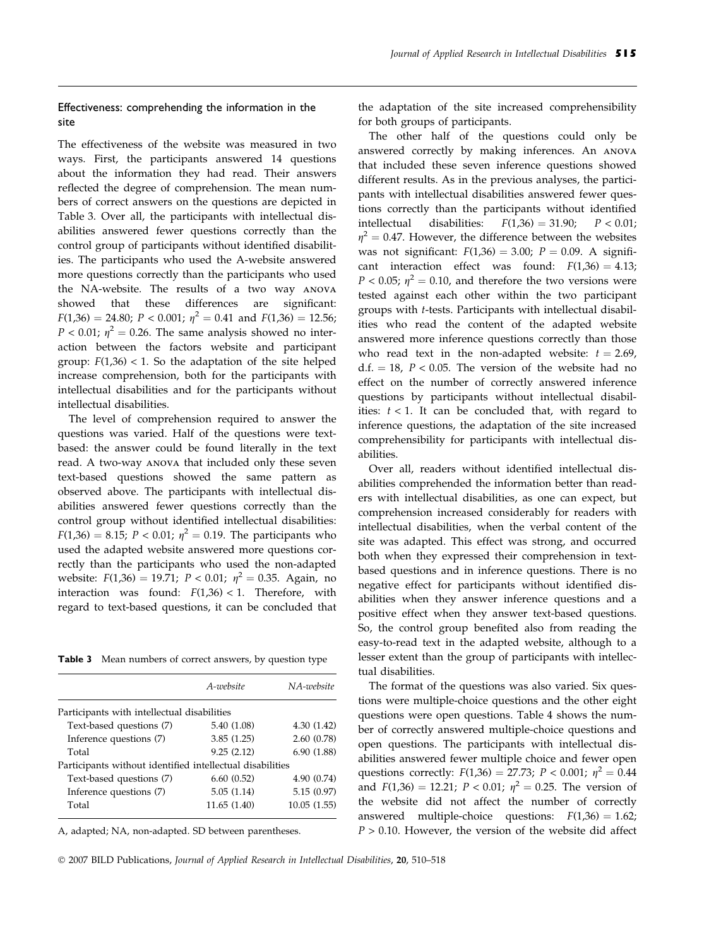# Effectiveness: comprehending the information in the site

The effectiveness of the website was measured in two ways. First, the participants answered 14 questions about the information they had read. Their answers reflected the degree of comprehension. The mean numbers of correct answers on the questions are depicted in Table 3. Over all, the participants with intellectual disabilities answered fewer questions correctly than the control group of participants without identified disabilities. The participants who used the A-website answered more questions correctly than the participants who used the NA-website. The results of a two way anova showed that these differences are significant:  $F(1,36) = 24.80; P < 0.001; \eta^2 = 0.41$  and  $F(1,36) = 12.56;$  $P < 0.01$ ;  $\eta^2 = 0.26$ . The same analysis showed no interaction between the factors website and participant group:  $F(1,36)$  < 1. So the adaptation of the site helped increase comprehension, both for the participants with intellectual disabilities and for the participants without intellectual disabilities.

The level of comprehension required to answer the questions was varied. Half of the questions were textbased: the answer could be found literally in the text read. A two-way anova that included only these seven text-based questions showed the same pattern as observed above. The participants with intellectual disabilities answered fewer questions correctly than the control group without identified intellectual disabilities:  $F(1,36) = 8.15; P < 0.01; \eta^2 = 0.19.$  The participants who used the adapted website answered more questions correctly than the participants who used the non-adapted website:  $F(1,36) = 19.71$ ;  $P < 0.01$ ;  $\eta^2 = 0.35$ . Again, no interaction was found:  $F(1,36) < 1$ . Therefore, with regard to text-based questions, it can be concluded that

Table 3 Mean numbers of correct answers, by question type

|                                                           | A-website    | NA-website  |
|-----------------------------------------------------------|--------------|-------------|
| Participants with intellectual disabilities               |              |             |
| Text-based questions (7)                                  | 5.40 (1.08)  | 4.30(1.42)  |
| Inference questions (7)                                   | 3.85(1.25)   | 2.60(0.78)  |
| Total                                                     | 9.25(2.12)   | 6.90(1.88)  |
| Participants without identified intellectual disabilities |              |             |
| Text-based questions (7)                                  | 6.60(0.52)   | 4.90(0.74)  |
| Inference questions (7)                                   | 5.05(1.14)   | 5.15(0.97)  |
| Total                                                     | 11.65 (1.40) | 10.05(1.55) |

A, adapted; NA, non-adapted. SD between parentheses.

the adaptation of the site increased comprehensibility for both groups of participants.

The other half of the questions could only be answered correctly by making inferences. An anova that included these seven inference questions showed different results. As in the previous analyses, the participants with intellectual disabilities answered fewer questions correctly than the participants without identified intellectual disabilities:  $F(1,36) = 31.90;$   $P < 0.01;$  $\eta^2$  = 0.47. However, the difference between the websites was not significant:  $F(1,36) = 3.00; P = 0.09$ . A significant interaction effect was found:  $F(1,36) = 4.13$ ;  $P < 0.05$ ;  $\eta^2 = 0.10$ , and therefore the two versions were tested against each other within the two participant groups with t-tests. Participants with intellectual disabilities who read the content of the adapted website answered more inference questions correctly than those who read text in the non-adapted website:  $t = 2.69$ , d.f.  $= 18$ ,  $P < 0.05$ . The version of the website had no effect on the number of correctly answered inference questions by participants without intellectual disabilities:  $t < 1$ . It can be concluded that, with regard to inference questions, the adaptation of the site increased comprehensibility for participants with intellectual disabilities.

Over all, readers without identified intellectual disabilities comprehended the information better than readers with intellectual disabilities, as one can expect, but comprehension increased considerably for readers with intellectual disabilities, when the verbal content of the site was adapted. This effect was strong, and occurred both when they expressed their comprehension in textbased questions and in inference questions. There is no negative effect for participants without identified disabilities when they answer inference questions and a positive effect when they answer text-based questions. So, the control group benefited also from reading the easy-to-read text in the adapted website, although to a lesser extent than the group of participants with intellectual disabilities.

The format of the questions was also varied. Six questions were multiple-choice questions and the other eight questions were open questions. Table 4 shows the number of correctly answered multiple-choice questions and open questions. The participants with intellectual disabilities answered fewer multiple choice and fewer open questions correctly:  $F(1,36) = 27.73$ ;  $P < 0.001$ ;  $n^2 = 0.44$ and  $F(1,36) = 12.21$ ;  $P < 0.01$ ;  $\eta^2 = 0.25$ . The version of the website did not affect the number of correctly answered multiple-choice questions:  $F(1,36) = 1.62$ ;  $P > 0.10$ . However, the version of the website did affect

© 2007 BILD Publications, Journal of Applied Research in Intellectual Disabilities, 20, 510–518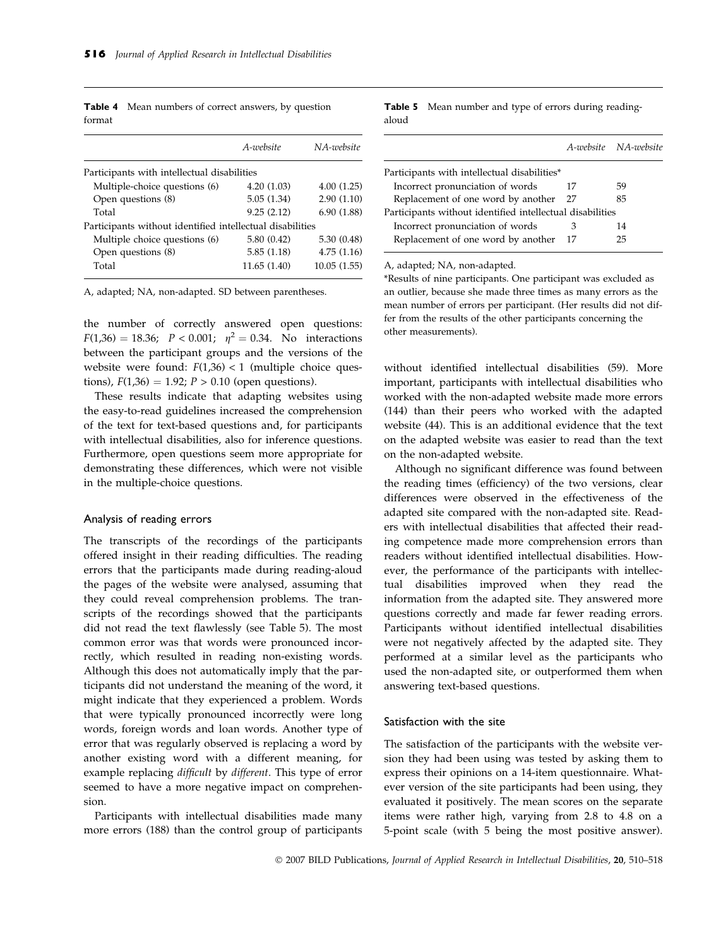|        | <b>Table 4</b> Mean numbers of correct answers, by question |
|--------|-------------------------------------------------------------|
| format |                                                             |

|                                                           | A-website   | $NA$ -website |
|-----------------------------------------------------------|-------------|---------------|
| Participants with intellectual disabilities               |             |               |
| Multiple-choice questions (6)                             | 4.20(1.03)  | 4.00(1.25)    |
| Open questions (8)                                        | 5.05(1.34)  | 2.90(1.10)    |
| Total                                                     | 9.25(2.12)  | 6.90(1.88)    |
| Participants without identified intellectual disabilities |             |               |
| Multiple choice questions (6)                             | 5.80(0.42)  | 5.30(0.48)    |
| Open questions (8)                                        | 5.85(1.18)  | 4.75(1.16)    |
| Total                                                     | 11.65(1.40) | 10.05(1.55)   |

A, adapted; NA, non-adapted. SD between parentheses.

the number of correctly answered open questions:  $F(1,36) = 18.36;$   $P < 0.001;$   $\eta^2 = 0.34.$  No interactions between the participant groups and the versions of the website were found:  $F(1,36) < 1$  (multiple choice questions),  $F(1,36) = 1.92$ ;  $P > 0.10$  (open questions).

These results indicate that adapting websites using the easy-to-read guidelines increased the comprehension of the text for text-based questions and, for participants with intellectual disabilities, also for inference questions. Furthermore, open questions seem more appropriate for demonstrating these differences, which were not visible in the multiple-choice questions.

## Analysis of reading errors

The transcripts of the recordings of the participants offered insight in their reading difficulties. The reading errors that the participants made during reading-aloud the pages of the website were analysed, assuming that they could reveal comprehension problems. The transcripts of the recordings showed that the participants did not read the text flawlessly (see Table 5). The most common error was that words were pronounced incorrectly, which resulted in reading non-existing words. Although this does not automatically imply that the participants did not understand the meaning of the word, it might indicate that they experienced a problem. Words that were typically pronounced incorrectly were long words, foreign words and loan words. Another type of error that was regularly observed is replacing a word by another existing word with a different meaning, for example replacing difficult by different. This type of error seemed to have a more negative impact on comprehension.

Participants with intellectual disabilities made many more errors (188) than the control group of participants Table 5 Mean number and type of errors during readingaloud

|                                                           |    | A-website NA-website |
|-----------------------------------------------------------|----|----------------------|
| Participants with intellectual disabilities*              |    |                      |
| Incorrect pronunciation of words                          | 17 | 59                   |
| Replacement of one word by another                        | 27 | 85                   |
| Participants without identified intellectual disabilities |    |                      |
| Incorrect pronunciation of words                          | З  | 14                   |
| Replacement of one word by another                        | 17 | 25                   |

A, adapted; NA, non-adapted.

\*Results of nine participants. One participant was excluded as an outlier, because she made three times as many errors as the mean number of errors per participant. (Her results did not differ from the results of the other participants concerning the other measurements).

without identified intellectual disabilities (59). More important, participants with intellectual disabilities who worked with the non-adapted website made more errors (144) than their peers who worked with the adapted website (44). This is an additional evidence that the text on the adapted website was easier to read than the text on the non-adapted website.

Although no significant difference was found between the reading times (efficiency) of the two versions, clear differences were observed in the effectiveness of the adapted site compared with the non-adapted site. Readers with intellectual disabilities that affected their reading competence made more comprehension errors than readers without identified intellectual disabilities. However, the performance of the participants with intellectual disabilities improved when they read the information from the adapted site. They answered more questions correctly and made far fewer reading errors. Participants without identified intellectual disabilities were not negatively affected by the adapted site. They performed at a similar level as the participants who used the non-adapted site, or outperformed them when answering text-based questions.

## Satisfaction with the site

The satisfaction of the participants with the website version they had been using was tested by asking them to express their opinions on a 14-item questionnaire. Whatever version of the site participants had been using, they evaluated it positively. The mean scores on the separate items were rather high, varying from 2.8 to 4.8 on a 5-point scale (with 5 being the most positive answer).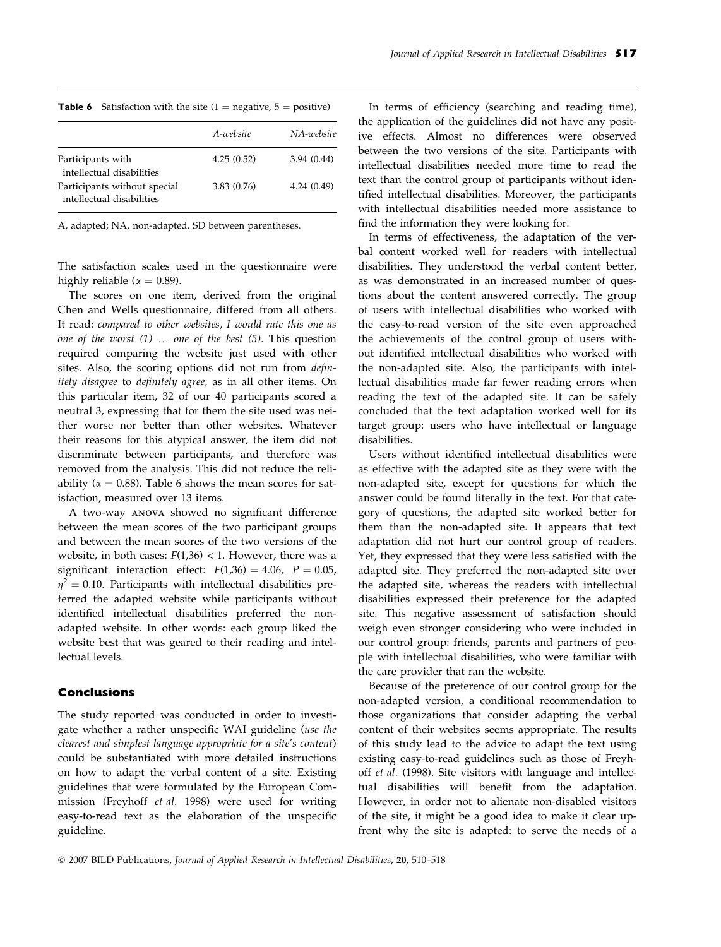|                                                           | A-website  | NA-website |
|-----------------------------------------------------------|------------|------------|
| Participants with<br>intellectual disabilities            | 4.25(0.52) | 3.94(0.44) |
| Participants without special<br>intellectual disabilities | 3.83(0.76) | 4.24(0.49) |

**Table 6** Satisfaction with the site  $(1 = \text{negative}, 5 = \text{positive})$ 

A, adapted; NA, non-adapted. SD between parentheses.

The satisfaction scales used in the questionnaire were highly reliable ( $\alpha = 0.89$ ).

The scores on one item, derived from the original Chen and Wells questionnaire, differed from all others. It read: compared to other websites, I would rate this one as one of the worst  $(1)$  ... one of the best  $(5)$ . This question required comparing the website just used with other sites. Also, the scoring options did not run from definitely disagree to definitely agree, as in all other items. On this particular item, 32 of our 40 participants scored a neutral 3, expressing that for them the site used was neither worse nor better than other websites. Whatever their reasons for this atypical answer, the item did not discriminate between participants, and therefore was removed from the analysis. This did not reduce the reliability ( $\alpha = 0.88$ ). Table 6 shows the mean scores for satisfaction, measured over 13 items.

A two-way anova showed no significant difference between the mean scores of the two participant groups and between the mean scores of the two versions of the website, in both cases:  $F(1,36) < 1$ . However, there was a significant interaction effect:  $F(1,36) = 4.06$ ,  $P = 0.05$ ,  $\eta^2 = 0.10$ . Participants with intellectual disabilities preferred the adapted website while participants without identified intellectual disabilities preferred the nonadapted website. In other words: each group liked the website best that was geared to their reading and intellectual levels.

# Conclusions

The study reported was conducted in order to investigate whether a rather unspecific WAI guideline (use the clearest and simplest language appropriate for a site's content) could be substantiated with more detailed instructions on how to adapt the verbal content of a site. Existing guidelines that were formulated by the European Commission (Freyhoff et al. 1998) were used for writing easy-to-read text as the elaboration of the unspecific guideline.

In terms of efficiency (searching and reading time), the application of the guidelines did not have any positive effects. Almost no differences were observed between the two versions of the site. Participants with intellectual disabilities needed more time to read the text than the control group of participants without identified intellectual disabilities. Moreover, the participants with intellectual disabilities needed more assistance to find the information they were looking for.

In terms of effectiveness, the adaptation of the verbal content worked well for readers with intellectual disabilities. They understood the verbal content better, as was demonstrated in an increased number of questions about the content answered correctly. The group of users with intellectual disabilities who worked with the easy-to-read version of the site even approached the achievements of the control group of users without identified intellectual disabilities who worked with the non-adapted site. Also, the participants with intellectual disabilities made far fewer reading errors when reading the text of the adapted site. It can be safely concluded that the text adaptation worked well for its target group: users who have intellectual or language disabilities.

Users without identified intellectual disabilities were as effective with the adapted site as they were with the non-adapted site, except for questions for which the answer could be found literally in the text. For that category of questions, the adapted site worked better for them than the non-adapted site. It appears that text adaptation did not hurt our control group of readers. Yet, they expressed that they were less satisfied with the adapted site. They preferred the non-adapted site over the adapted site, whereas the readers with intellectual disabilities expressed their preference for the adapted site. This negative assessment of satisfaction should weigh even stronger considering who were included in our control group: friends, parents and partners of people with intellectual disabilities, who were familiar with the care provider that ran the website.

Because of the preference of our control group for the non-adapted version, a conditional recommendation to those organizations that consider adapting the verbal content of their websites seems appropriate. The results of this study lead to the advice to adapt the text using existing easy-to-read guidelines such as those of Freyhoff et al. (1998). Site visitors with language and intellectual disabilities will benefit from the adaptation. However, in order not to alienate non-disabled visitors of the site, it might be a good idea to make it clear upfront why the site is adapted: to serve the needs of a